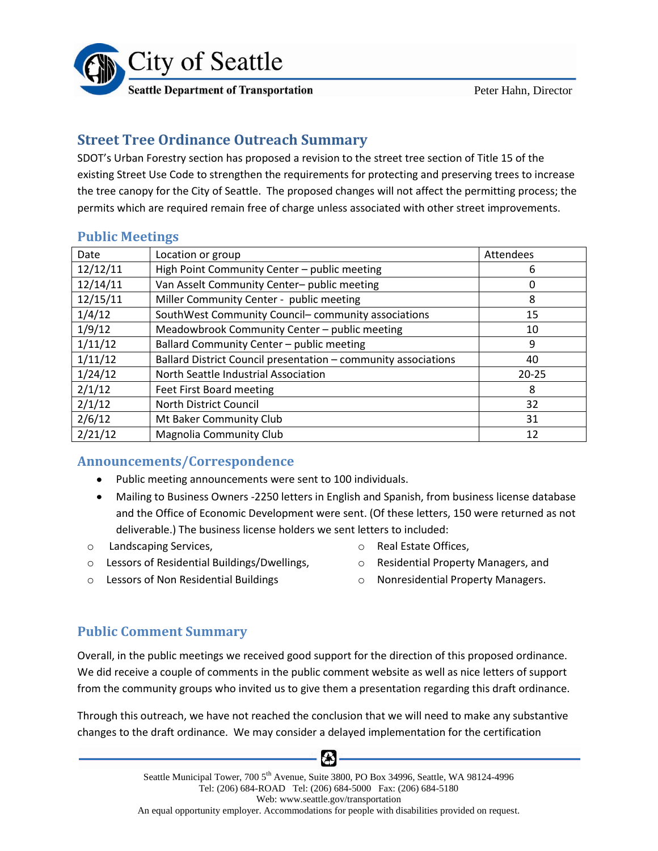

Peter Hahn, Director

# **Street Tree Ordinance Outreach Summary**

SDOT's Urban Forestry section has proposed a revision to the street tree section of Title 15 of the existing Street Use Code to strengthen the requirements for protecting and preserving trees to increase the tree canopy for the City of Seattle. The proposed changes will not affect the permitting process; the permits which are required remain free of charge unless associated with other street improvements.

| Date     | Location or group                                              | Attendees |
|----------|----------------------------------------------------------------|-----------|
| 12/12/11 | High Point Community Center - public meeting                   | 6         |
| 12/14/11 | Van Asselt Community Center- public meeting                    | 0         |
| 12/15/11 | Miller Community Center - public meeting                       | 8         |
| 1/4/12   | SouthWest Community Council-community associations             | 15        |
| 1/9/12   | Meadowbrook Community Center - public meeting                  | 10        |
| 1/11/12  | Ballard Community Center - public meeting                      | 9         |
| 1/11/12  | Ballard District Council presentation - community associations | 40        |
| 1/24/12  | North Seattle Industrial Association                           | $20 - 25$ |
| 2/1/12   | Feet First Board meeting                                       | 8         |
| 2/1/12   | North District Council                                         | 32        |
| 2/6/12   | Mt Baker Community Club                                        | 31        |
| 2/21/12  | <b>Magnolia Community Club</b>                                 | 12        |

## **Public Meetings**

## **Announcements/Correspondence**

- Public meeting announcements were sent to 100 individuals.
- Mailing to Business Owners -2250 letters in English and Spanish, from business license database and the Office of Economic Development were sent. (Of these letters, 150 were returned as not deliverable.) The business license holders we sent letters to included:
- o Landscaping Services,
- o Real Estate Offices,
- o Lessors of Residential Buildings/Dwellings,
- o Residential Property Managers, and
- o Lessors of Non Residential Buildings
- o Nonresidential Property Managers.

**Public Comment Summary**

Overall, in the public meetings we received good support for the direction of this proposed ordinance. We did receive a couple of comments in the public comment website as well as nice letters of support from the community groups who invited us to give them a presentation regarding this draft ordinance.

Through this outreach, we have not reached the conclusion that we will need to make any substantive changes to the draft ordinance. We may consider a delayed implementation for the certification

6X